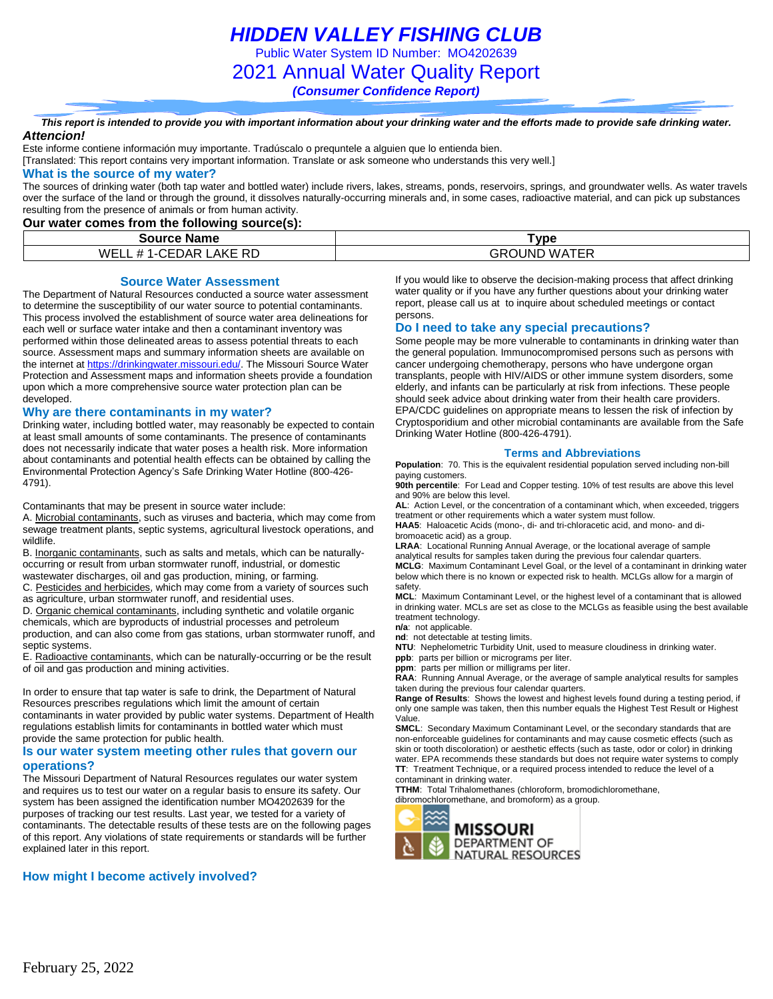*HIDDEN VALLEY FISHING CLUB*

Public Water System ID Number: MO4202639

2021 Annual Water Quality Report

*(Consumer Confidence Report)*

*This report is intended to provide you with important information about your drinking water and the efforts made to provide safe drinking water. Attencion!*

Este informe contiene información muy importante. Tradúscalo o prequntele a alguien que lo entienda bien.

[Translated: This report contains very important information. Translate or ask someone who understands this very well.]

### **What is the source of my water?**

The sources of drinking water (both tap water and bottled water) include rivers, lakes, streams, ponds, reservoirs, springs, and groundwater wells. As water travels over the surface of the land or through the ground, it dissolves naturally-occurring minerals and, in some cases, radioactive material, and can pick up substances resulting from the presence of animals or from human activity.

### **Our water comes from the following source(s):**

| <b>Name</b><br>Source                               | $T$ vpe                           |  |  |  |
|-----------------------------------------------------|-----------------------------------|--|--|--|
| WELL<br>.AKE<br><b>RD</b><br>EDAR<br>ᄑ<br>$\cdot$ F | <b>ATER</b><br>OUND<br>GRO<br>WAT |  |  |  |

### **Source Water Assessment**

The Department of Natural Resources conducted a source water assessment to determine the susceptibility of our water source to potential contaminants. This process involved the establishment of source water area delineations for each well or surface water intake and then a contaminant inventory was performed within those delineated areas to assess potential threats to each source. Assessment maps and summary information sheets are available on the internet a[t https://drinkingwater.missouri.edu/.](https://drinkingwater.missouri.edu/) The Missouri Source Water Protection and Assessment maps and information sheets provide a foundation upon which a more comprehensive source water protection plan can be developed.

#### **Why are there contaminants in my water?**

Drinking water, including bottled water, may reasonably be expected to contain at least small amounts of some contaminants. The presence of contaminants does not necessarily indicate that water poses a health risk. More information about contaminants and potential health effects can be obtained by calling the Environmental Protection Agency's Safe Drinking Water Hotline (800-426- 4791).

Contaminants that may be present in source water include:

A. Microbial contaminants, such as viruses and bacteria, which may come from sewage treatment plants, septic systems, agricultural livestock operations, and wildlife.

B. Inorganic contaminants, such as salts and metals, which can be naturallyoccurring or result from urban stormwater runoff, industrial, or domestic wastewater discharges, oil and gas production, mining, or farming.

C. Pesticides and herbicides, which may come from a variety of sources such as agriculture, urban stormwater runoff, and residential uses.

D. Organic chemical contaminants, including synthetic and volatile organic chemicals, which are byproducts of industrial processes and petroleum production, and can also come from gas stations, urban stormwater runoff, and septic systems.

E. Radioactive contaminants, which can be naturally-occurring or be the result of oil and gas production and mining activities.

In order to ensure that tap water is safe to drink, the Department of Natural Resources prescribes regulations which limit the amount of certain contaminants in water provided by public water systems. Department of Health regulations establish limits for contaminants in bottled water which must provide the same protection for public health.

#### **Is our water system meeting other rules that govern our operations?**

The Missouri Department of Natural Resources regulates our water system and requires us to test our water on a regular basis to ensure its safety. Our system has been assigned the identification number MO4202639 for the purposes of tracking our test results. Last year, we tested for a variety of contaminants. The detectable results of these tests are on the following pages of this report. Any violations of state requirements or standards will be further explained later in this report.

### **How might I become actively involved?**

If you would like to observe the decision-making process that affect drinking water quality or if you have any further questions about your drinking water report, please call us at to inquire about scheduled meetings or contact persons.

### **Do I need to take any special precautions?**

Some people may be more vulnerable to contaminants in drinking water than the general population. Immunocompromised persons such as persons with cancer undergoing chemotherapy, persons who have undergone organ transplants, people with HIV/AIDS or other immune system disorders, some elderly, and infants can be particularly at risk from infections. These people should seek advice about drinking water from their health care providers. EPA/CDC guidelines on appropriate means to lessen the risk of infection by Cryptosporidium and other microbial contaminants are available from the Safe Drinking Water Hotline (800-426-4791).

### **Terms and Abbreviations**

**Population**: 70. This is the equivalent residential population served including non-bill paying customers.

**90th percentile**: For Lead and Copper testing. 10% of test results are above this level and 90% are below this level.

**AL**: Action Level, or the concentration of a contaminant which, when exceeded, triggers treatment or other requirements which a water system must follow.

**HAA5**: Haloacetic Acids (mono-, di- and tri-chloracetic acid, and mono- and dibromoacetic acid) as a group.

**LRAA**: Locational Running Annual Average, or the locational average of sample analytical results for samples taken during the previous four calendar quarters. **MCLG**: Maximum Contaminant Level Goal, or the level of a contaminant in drinking water below which there is no known or expected risk to health. MCLGs allow for a margin of

safety. **MCL**: Maximum Contaminant Level, or the highest level of a contaminant that is allowed in drinking water. MCLs are set as close to the MCLGs as feasible using the best available treatment technology.

**n/a**: not applicable.

**nd**: not detectable at testing limits.

**NTU**: Nephelometric Turbidity Unit, used to measure cloudiness in drinking water. **ppb**: parts per billion or micrograms per liter.

**ppm**: parts per million or milligrams per liter.

**RAA**: Running Annual Average, or the average of sample analytical results for samples taken during the previous four calendar quarters.

**Range of Results**: Shows the lowest and highest levels found during a testing period, if only one sample was taken, then this number equals the Highest Test Result or Highest Value.

**SMCL**: Secondary Maximum Contaminant Level, or the secondary standards that are non-enforceable guidelines for contaminants and may cause cosmetic effects (such as skin or tooth discoloration) or aesthetic effects (such as taste, odor or color) in drinking water. EPA recommends these standards but does not require water systems to comply **TT**: Treatment Technique, or a required process intended to reduce the level of a contaminant in drinking water.

**TTHM**: Total Trihalomethanes (chloroform, bromodichloromethane,

dibromochloromethane, and bromoform) as a group.